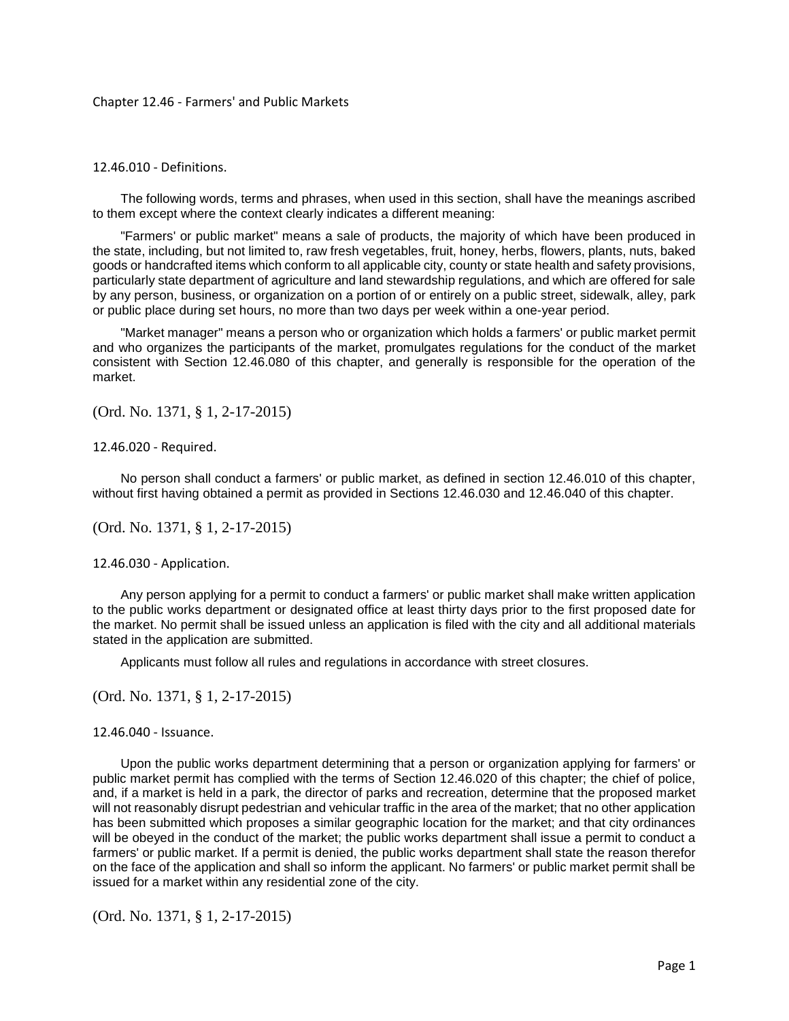## Chapter 12.46 - Farmers' and Public Markets

## 12.46.010 - Definitions.

The following words, terms and phrases, when used in this section, shall have the meanings ascribed to them except where the context clearly indicates a different meaning:

"Farmers' or public market" means a sale of products, the majority of which have been produced in the state, including, but not limited to, raw fresh vegetables, fruit, honey, herbs, flowers, plants, nuts, baked goods or handcrafted items which conform to all applicable city, county or state health and safety provisions, particularly state department of agriculture and land stewardship regulations, and which are offered for sale by any person, business, or organization on a portion of or entirely on a public street, sidewalk, alley, park or public place during set hours, no more than two days per week within a one-year period.

"Market manager" means a person who or organization which holds a farmers' or public market permit and who organizes the participants of the market, promulgates regulations for the conduct of the market consistent with Section 12.46.080 of this chapter, and generally is responsible for the operation of the market.

(Ord. No. 1371, § 1, 2-17-2015)

12.46.020 - Required.

No person shall conduct a farmers' or public market, as defined in section 12.46.010 of this chapter, without first having obtained a permit as provided in Sections 12.46.030 and 12.46.040 of this chapter.

(Ord. No. 1371, § 1, 2-17-2015)

12.46.030 - Application.

Any person applying for a permit to conduct a farmers' or public market shall make written application to the public works department or designated office at least thirty days prior to the first proposed date for the market. No permit shall be issued unless an application is filed with the city and all additional materials stated in the application are submitted.

Applicants must follow all rules and regulations in accordance with street closures.

(Ord. No. 1371, § 1, 2-17-2015)

12.46.040 - Issuance.

Upon the public works department determining that a person or organization applying for farmers' or public market permit has complied with the terms of Section 12.46.020 of this chapter; the chief of police, and, if a market is held in a park, the director of parks and recreation, determine that the proposed market will not reasonably disrupt pedestrian and vehicular traffic in the area of the market; that no other application has been submitted which proposes a similar geographic location for the market; and that city ordinances will be obeyed in the conduct of the market; the public works department shall issue a permit to conduct a farmers' or public market. If a permit is denied, the public works department shall state the reason therefor on the face of the application and shall so inform the applicant. No farmers' or public market permit shall be issued for a market within any residential zone of the city.

(Ord. No. 1371, § 1, 2-17-2015)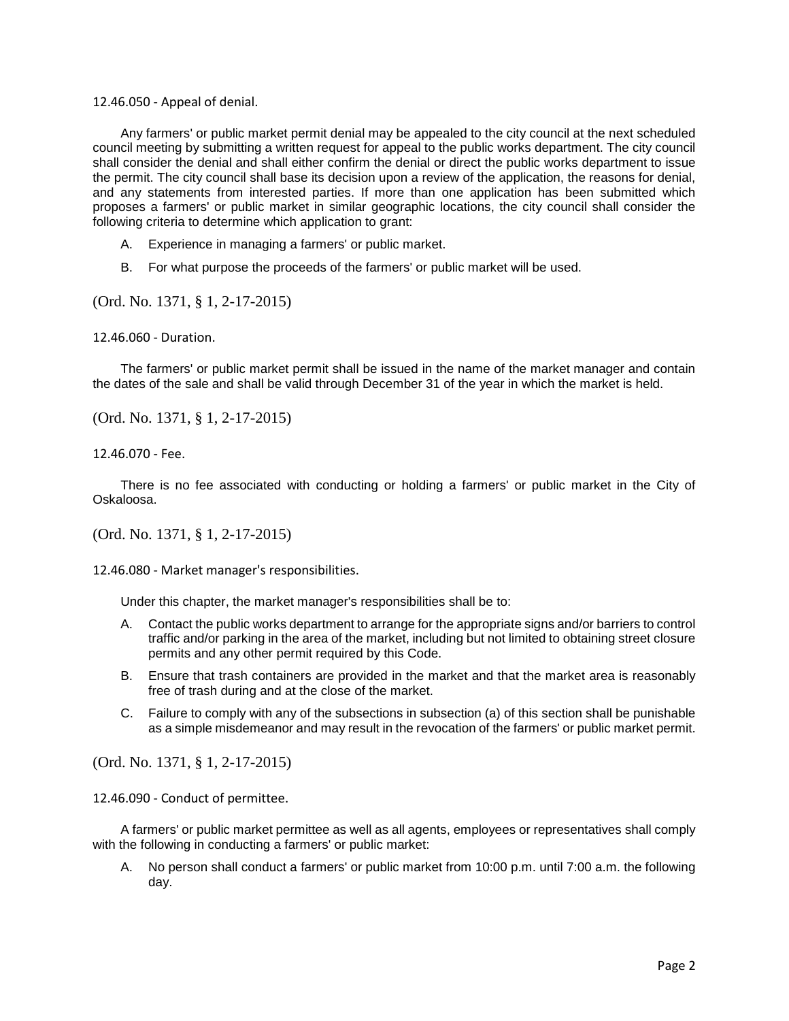12.46.050 - Appeal of denial.

Any farmers' or public market permit denial may be appealed to the city council at the next scheduled council meeting by submitting a written request for appeal to the public works department. The city council shall consider the denial and shall either confirm the denial or direct the public works department to issue the permit. The city council shall base its decision upon a review of the application, the reasons for denial, and any statements from interested parties. If more than one application has been submitted which proposes a farmers' or public market in similar geographic locations, the city council shall consider the following criteria to determine which application to grant:

- A. Experience in managing a farmers' or public market.
- B. For what purpose the proceeds of the farmers' or public market will be used.

(Ord. No. 1371, § 1, 2-17-2015)

12.46.060 - Duration.

The farmers' or public market permit shall be issued in the name of the market manager and contain the dates of the sale and shall be valid through December 31 of the year in which the market is held.

(Ord. No. 1371, § 1, 2-17-2015)

12.46.070 - Fee.

There is no fee associated with conducting or holding a farmers' or public market in the City of Oskaloosa.

(Ord. No. 1371, § 1, 2-17-2015)

12.46.080 - Market manager's responsibilities.

Under this chapter, the market manager's responsibilities shall be to:

- A. Contact the public works department to arrange for the appropriate signs and/or barriers to control traffic and/or parking in the area of the market, including but not limited to obtaining street closure permits and any other permit required by this Code.
- B. Ensure that trash containers are provided in the market and that the market area is reasonably free of trash during and at the close of the market.
- C. Failure to comply with any of the subsections in subsection (a) of this section shall be punishable as a simple misdemeanor and may result in the revocation of the farmers' or public market permit.

(Ord. No. 1371, § 1, 2-17-2015)

12.46.090 - Conduct of permittee.

A farmers' or public market permittee as well as all agents, employees or representatives shall comply with the following in conducting a farmers' or public market:

A. No person shall conduct a farmers' or public market from 10:00 p.m. until 7:00 a.m. the following day.